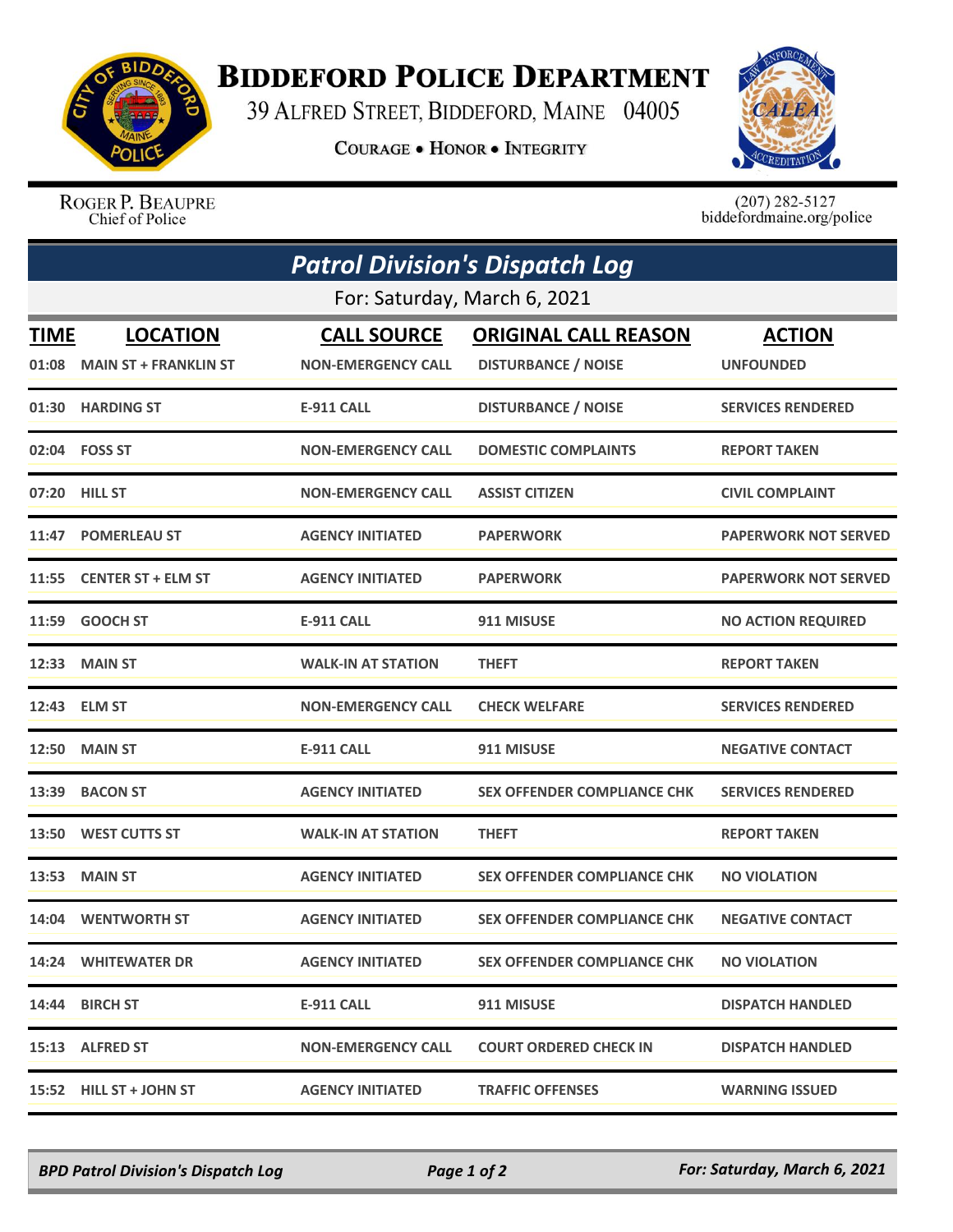

## **BIDDEFORD POLICE DEPARTMENT**

39 ALFRED STREET, BIDDEFORD, MAINE 04005

**COURAGE . HONOR . INTEGRITY** 



ROGER P. BEAUPRE Chief of Police

 $(207)$  282-5127<br>biddefordmaine.org/police

| <b>Patrol Division's Dispatch Log</b><br>For: Saturday, March 6, 2021 |                              |                           |                                    |                             |  |  |
|-----------------------------------------------------------------------|------------------------------|---------------------------|------------------------------------|-----------------------------|--|--|
|                                                                       |                              |                           |                                    |                             |  |  |
| 01:08                                                                 | <b>MAIN ST + FRANKLIN ST</b> | <b>NON-EMERGENCY CALL</b> | <b>DISTURBANCE / NOISE</b>         | <b>UNFOUNDED</b>            |  |  |
|                                                                       | 01:30 HARDING ST             | <b>E-911 CALL</b>         | <b>DISTURBANCE / NOISE</b>         | <b>SERVICES RENDERED</b>    |  |  |
|                                                                       | 02:04    FOSS ST             | <b>NON-EMERGENCY CALL</b> | <b>DOMESTIC COMPLAINTS</b>         | <b>REPORT TAKEN</b>         |  |  |
| 07:20                                                                 | <b>HILL ST</b>               | <b>NON-EMERGENCY CALL</b> | <b>ASSIST CITIZEN</b>              | <b>CIVIL COMPLAINT</b>      |  |  |
| 11:47                                                                 | <b>POMERLEAU ST</b>          | <b>AGENCY INITIATED</b>   | <b>PAPERWORK</b>                   | <b>PAPERWORK NOT SERVED</b> |  |  |
|                                                                       | 11:55 CENTER ST + ELM ST     | <b>AGENCY INITIATED</b>   | <b>PAPERWORK</b>                   | <b>PAPERWORK NOT SERVED</b> |  |  |
| 11:59                                                                 | <b>GOOCH ST</b>              | <b>E-911 CALL</b>         | 911 MISUSE                         | <b>NO ACTION REQUIRED</b>   |  |  |
|                                                                       | 12:33 MAIN ST                | <b>WALK-IN AT STATION</b> | <b>THEFT</b>                       | <b>REPORT TAKEN</b>         |  |  |
|                                                                       | 12:43 ELM ST                 | <b>NON-EMERGENCY CALL</b> | <b>CHECK WELFARE</b>               | <b>SERVICES RENDERED</b>    |  |  |
| 12:50                                                                 | <b>MAIN ST</b>               | <b>E-911 CALL</b>         | 911 MISUSE                         | <b>NEGATIVE CONTACT</b>     |  |  |
| 13:39                                                                 | <b>BACON ST</b>              | <b>AGENCY INITIATED</b>   | <b>SEX OFFENDER COMPLIANCE CHK</b> | <b>SERVICES RENDERED</b>    |  |  |
| 13:50                                                                 | <b>WEST CUTTS ST</b>         | <b>WALK-IN AT STATION</b> | <b>THEFT</b>                       | <b>REPORT TAKEN</b>         |  |  |
| 13:53                                                                 | <b>MAIN ST</b>               | <b>AGENCY INITIATED</b>   | <b>SEX OFFENDER COMPLIANCE CHK</b> | <b>NO VIOLATION</b>         |  |  |
| 14:04                                                                 | <b>WENTWORTH ST</b>          | <b>AGENCY INITIATED</b>   | <b>SEX OFFENDER COMPLIANCE CHK</b> | <b>NEGATIVE CONTACT</b>     |  |  |
|                                                                       | <b>14:24 WHITEWATER DR</b>   | <b>AGENCY INITIATED</b>   | <b>SEX OFFENDER COMPLIANCE CHK</b> | <b>NO VIOLATION</b>         |  |  |
|                                                                       | 14:44 BIRCH ST               | E-911 CALL                | 911 MISUSE                         | <b>DISPATCH HANDLED</b>     |  |  |
|                                                                       | 15:13 ALFRED ST              | <b>NON-EMERGENCY CALL</b> | <b>COURT ORDERED CHECK IN</b>      | <b>DISPATCH HANDLED</b>     |  |  |
|                                                                       | 15:52 HILL ST + JOHN ST      | <b>AGENCY INITIATED</b>   | <b>TRAFFIC OFFENSES</b>            | <b>WARNING ISSUED</b>       |  |  |